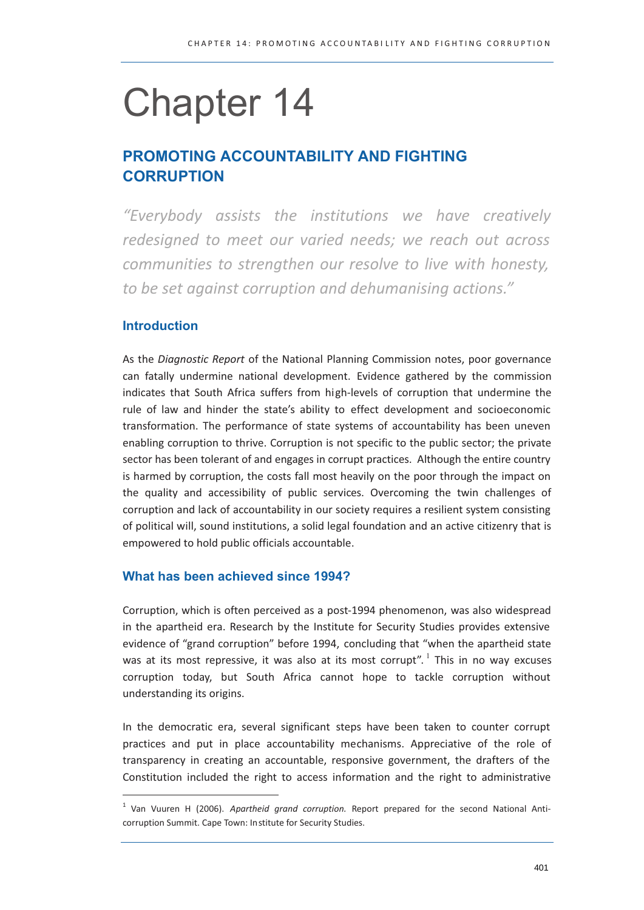# **Chapter 14**

## **PROMOTING ACCOUNTABILITY AND FIGHTING CORRUPTION**

"Everybody assists the institutions we have creatively redesigned to meet our varied needs; we reach out across communities to strengthen our resolve to live with honesty, to be set against corruption and dehumanising actions."

## **Introduction**

As the Diagnostic Report of the National Planning Commission notes, poor governance can fatally undermine national development. Evidence gathered by the commission indicates that South Africa suffers from high-levels of corruption that undermine the rule of law and hinder the state's ability to effect development and socioeconomic transformation. The performance of state systems of accountability has been uneven enabling corruption to thrive. Corruption is not specific to the public sector; the private sector has been tolerant of and engages in corrupt practices. Although the entire country is harmed by corruption, the costs fall most heavily on the poor through the impact on the quality and accessibility of public services. Overcoming the twin challenges of corruption and lack of accountability in our society requires a resilient system consisting of political will, sound institutions, a solid legal foundation and an active citizenry that is empowered to hold public officials accountable.

## What has been achieved since 1994?

Corruption, which is often perceived as a post-1994 phenomenon, was also widespread in the apartheid era. Research by the Institute for Security Studies provides extensive evidence of "grand corruption" before 1994, concluding that "when the apartheid state was at its most repressive, it was also at its most corrupt".<sup>1</sup> This in no way excuses corruption today, but South Africa cannot hope to tackle corruption without understanding its origins.

In the democratic era, several significant steps have been taken to counter corrupt practices and put in place accountability mechanisms. Appreciative of the role of transparency in creating an accountable, responsive government, the drafters of the Constitution included the right to access information and the right to administrative

<sup>&</sup>lt;sup>1</sup> Van Vuuren H (2006). Apartheid grand corruption. Report prepared for the second National Anticorruption Summit. Cape Town: Institute for Security Studies.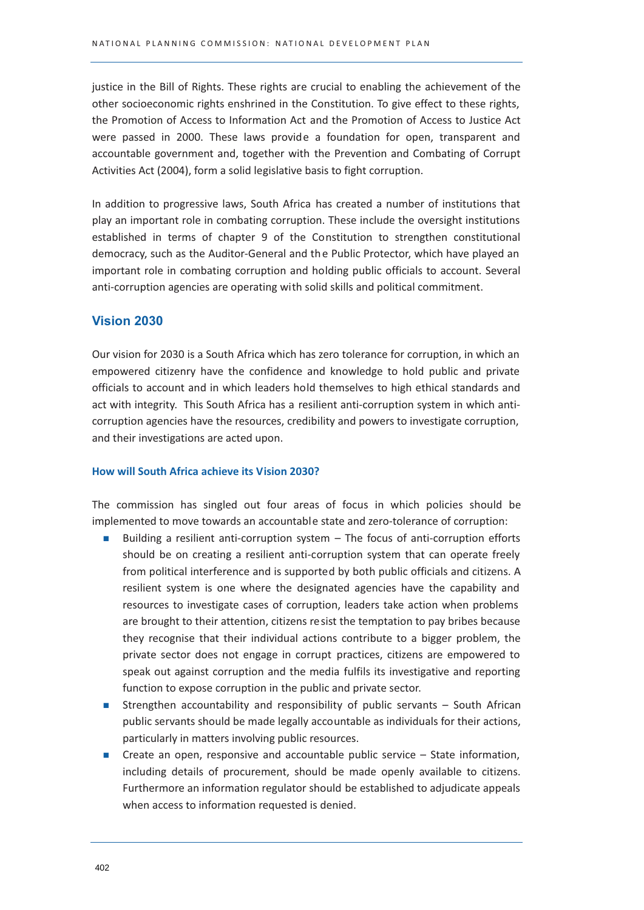justice in the Bill of Rights. These rights are crucial to enabling the achievement of the other socioeconomic rights enshrined in the Constitution. To give effect to these rights, the Promotion of Access to Information Act and the Promotion of Access to Justice Act were passed in 2000. These laws provide a foundation for open, transparent and accountable government and, together with the Prevention and Combating of Corrupt Activities Act (2004), form a solid legislative basis to fight corruption.

In addition to progressive laws, South Africa has created a number of institutions that play an important role in combating corruption. These include the oversight institutions established in terms of chapter 9 of the Constitution to strengthen constitutional democracy, such as the Auditor-General and the Public Protector, which have played an important role in combating corruption and holding public officials to account. Several anti-corruption agencies are operating with solid skills and political commitment.

## **Vision 2030**

Our vision for 2030 is a South Africa which has zero tolerance for corruption, in which an empowered citizenry have the confidence and knowledge to hold public and private officials to account and in which leaders hold themselves to high ethical standards and act with integrity. This South Africa has a resilient anti-corruption system in which anticorruption agencies have the resources, credibility and powers to investigate corruption, and their investigations are acted upon.

#### How will South Africa achieve its Vision 2030?

The commission has singled out four areas of focus in which policies should be implemented to move towards an accountable state and zero-tolerance of corruption:

- Building a resilient anti-corruption system The focus of anti-corruption efforts should be on creating a resilient anti-corruption system that can operate freely from political interference and is supported by both public officials and citizens. A resilient system is one where the designated agencies have the capability and resources to investigate cases of corruption, leaders take action when problems are brought to their attention, citizens resist the temptation to pay bribes because they recognise that their individual actions contribute to a bigger problem, the private sector does not engage in corrupt practices, citizens are empowered to speak out against corruption and the media fulfils its investigative and reporting function to expose corruption in the public and private sector.
- Strengthen accountability and responsibility of public servants South African  $\mathcal{L}_{\mathcal{A}}$ public servants should be made legally accountable as individuals for their actions, particularly in matters involving public resources.
- Create an open, responsive and accountable public service State information, including details of procurement, should be made openly available to citizens. Furthermore an information regulator should be established to adjudicate appeals when access to information requested is denied.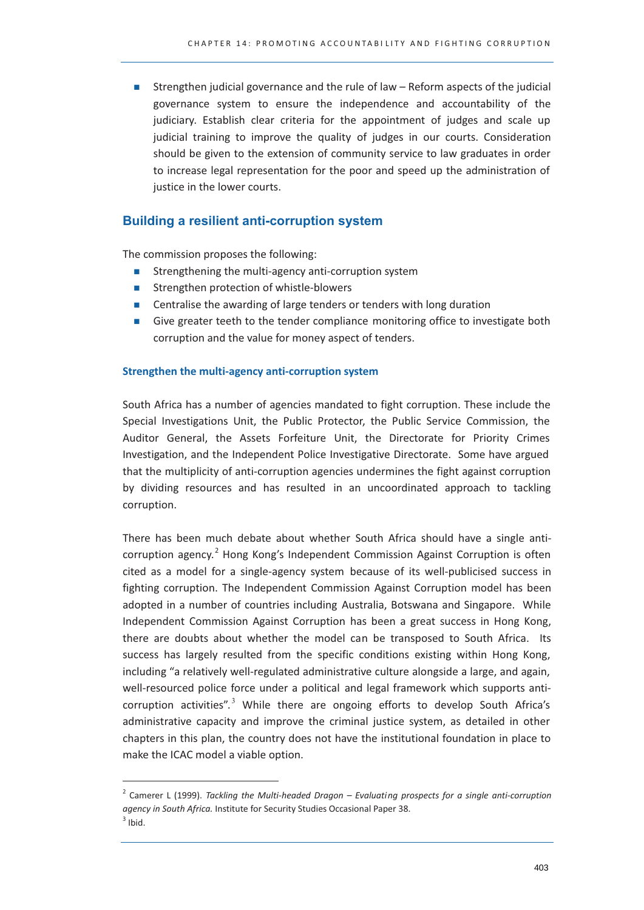Strengthen judicial governance and the rule of law - Reform aspects of the judicial  $\mathbf{r}$ governance system to ensure the independence and accountability of the judiciary. Establish clear criteria for the appointment of judges and scale up judicial training to improve the quality of judges in our courts. Consideration should be given to the extension of community service to law graduates in order to increase legal representation for the poor and speed up the administration of justice in the lower courts.

#### **Building a resilient anti-corruption system**

The commission proposes the following:

- $\mathbf{r}$ Strengthening the multi-agency anti-corruption system
- Strengthen protection of whistle-blowers  $\mathcal{L}_{\mathcal{A}}$
- Centralise the awarding of large tenders or tenders with long duration
- Give greater teeth to the tender compliance monitoring office to investigate both corruption and the value for money aspect of tenders.

#### Strengthen the multi-agency anti-corruption system

South Africa has a number of agencies mandated to fight corruption. These include the Special Investigations Unit, the Public Protector, the Public Service Commission, the Auditor General, the Assets Forfeiture Unit, the Directorate for Priority Crimes Investigation, and the Independent Police Investigative Directorate. Some have argued that the multiplicity of anti-corruption agencies undermines the fight against corruption by dividing resources and has resulted in an uncoordinated approach to tackling corruption.

There has been much debate about whether South Africa should have a single anticorruption agency.<sup>2</sup> Hong Kong's Independent Commission Against Corruption is often cited as a model for a single-agency system because of its well-publicised success in fighting corruption. The Independent Commission Against Corruption model has been adopted in a number of countries including Australia, Botswana and Singapore. While Independent Commission Against Corruption has been a great success in Hong Kong, there are doubts about whether the model can be transposed to South Africa. Its success has largely resulted from the specific conditions existing within Hong Kong, including "a relatively well-regulated administrative culture alongside a large, and again, well-resourced police force under a political and legal framework which supports anticorruption activities".<sup>3</sup> While there are ongoing efforts to develop South Africa's administrative capacity and improve the criminal justice system, as detailed in other chapters in this plan, the country does not have the institutional foundation in place to make the ICAC model a viable option.

 $2$  Camerer L (1999). Tackling the Multi-headed Dragon - Evaluating prospects for a single anti-corruption agency in South Africa. Institute for Security Studies Occasional Paper 38.

 $3$  Ibid.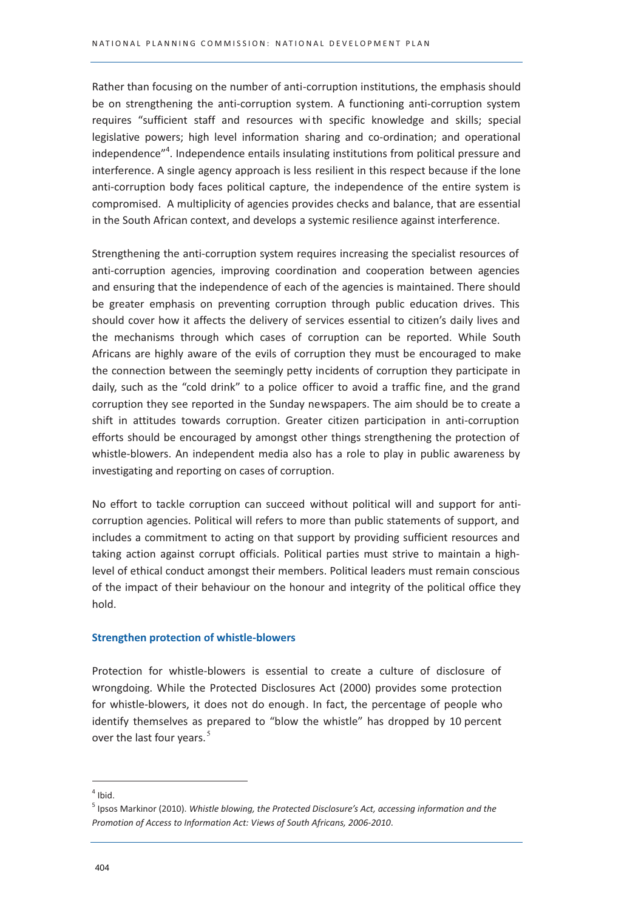Rather than focusing on the number of anti-corruption institutions, the emphasis should be on strengthening the anti-corruption system. A functioning anti-corruption system requires "sufficient staff and resources with specific knowledge and skills; special legislative powers; high level information sharing and co-ordination; and operational independence"<sup>4</sup>. Independence entails insulating institutions from political pressure and interference. A single agency approach is less resilient in this respect because if the lone anti-corruption body faces political capture, the independence of the entire system is compromised. A multiplicity of agencies provides checks and balance, that are essential in the South African context, and develops a systemic resilience against interference.

Strengthening the anti-corruption system requires increasing the specialist resources of anti-corruption agencies, improving coordination and cooperation between agencies and ensuring that the independence of each of the agencies is maintained. There should be greater emphasis on preventing corruption through public education drives. This should cover how it affects the delivery of services essential to citizen's daily lives and the mechanisms through which cases of corruption can be reported. While South Africans are highly aware of the evils of corruption they must be encouraged to make the connection between the seemingly petty incidents of corruption they participate in daily, such as the "cold drink" to a police officer to avoid a traffic fine, and the grand corruption they see reported in the Sunday newspapers. The aim should be to create a shift in attitudes towards corruption. Greater citizen participation in anti-corruption efforts should be encouraged by amongst other things strengthening the protection of whistle-blowers. An independent media also has a role to play in public awareness by investigating and reporting on cases of corruption.

No effort to tackle corruption can succeed without political will and support for anticorruption agencies. Political will refers to more than public statements of support, and includes a commitment to acting on that support by providing sufficient resources and taking action against corrupt officials. Political parties must strive to maintain a highlevel of ethical conduct amongst their members. Political leaders must remain conscious of the impact of their behaviour on the honour and integrity of the political office they hold.

#### **Strengthen protection of whistle-blowers**

Protection for whistle-blowers is essential to create a culture of disclosure of wrongdoing. While the Protected Disclosures Act (2000) provides some protection for whistle-blowers, it does not do enough. In fact, the percentage of people who identify themselves as prepared to "blow the whistle" has dropped by 10 percent over the last four vears.<sup>5</sup>

 $4$  Ibid.

<sup>&</sup>lt;sup>5</sup> Ipsos Markinor (2010). Whistle blowing, the Protected Disclosure's Act, accessing information and the Promotion of Access to Information Act: Views of South Africans, 2006-2010.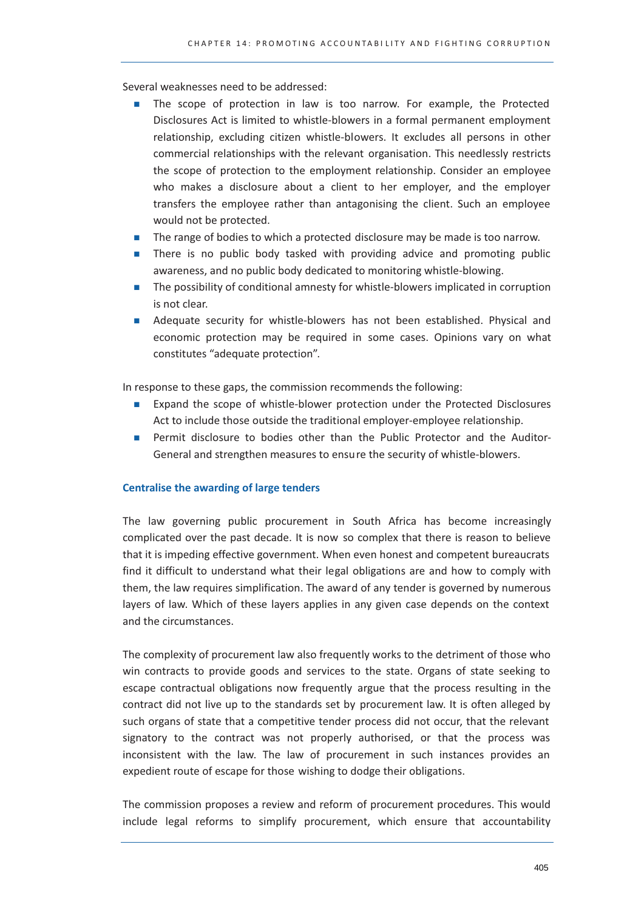Several weaknesses need to be addressed:

- The scope of protection in law is too narrow. For example, the Protected Disclosures Act is limited to whistle-blowers in a formal permanent employment relationship, excluding citizen whistle-blowers. It excludes all persons in other commercial relationships with the relevant organisation. This needlessly restricts the scope of protection to the employment relationship. Consider an employee who makes a disclosure about a client to her employer, and the employer transfers the employee rather than antagonising the client. Such an employee would not be protected.
- The range of bodies to which a protected disclosure may be made is too narrow. **COL**
- There is no public body tasked with providing advice and promoting public awareness, and no public body dedicated to monitoring whistle-blowing.
- The possibility of conditional amnesty for whistle-blowers implicated in corruption  $\mathbf{r}$ is not clear.
- Adequate security for whistle-blowers has not been established. Physical and **Contract** economic protection may be required in some cases. Opinions vary on what constitutes "adequate protection".

In response to these gaps, the commission recommends the following:

- Expand the scope of whistle-blower protection under the Protected Disclosures  $\mathbf{r}$ Act to include those outside the traditional employer-employee relationship.
- Permit disclosure to bodies other than the Public Protector and the Auditor-General and strengthen measures to ensure the security of whistle-blowers.

#### **Centralise the awarding of large tenders**

The law governing public procurement in South Africa has become increasingly complicated over the past decade. It is now so complex that there is reason to believe that it is impeding effective government. When even honest and competent bureaucrats find it difficult to understand what their legal obligations are and how to comply with them, the law requires simplification. The award of any tender is governed by numerous layers of law. Which of these layers applies in any given case depends on the context and the circumstances.

The complexity of procurement law also frequently works to the detriment of those who win contracts to provide goods and services to the state. Organs of state seeking to escape contractual obligations now frequently argue that the process resulting in the contract did not live up to the standards set by procurement law. It is often alleged by such organs of state that a competitive tender process did not occur, that the relevant signatory to the contract was not properly authorised, or that the process was inconsistent with the law. The law of procurement in such instances provides an expedient route of escape for those wishing to dodge their obligations.

The commission proposes a review and reform of procurement procedures. This would include legal reforms to simplify procurement, which ensure that accountability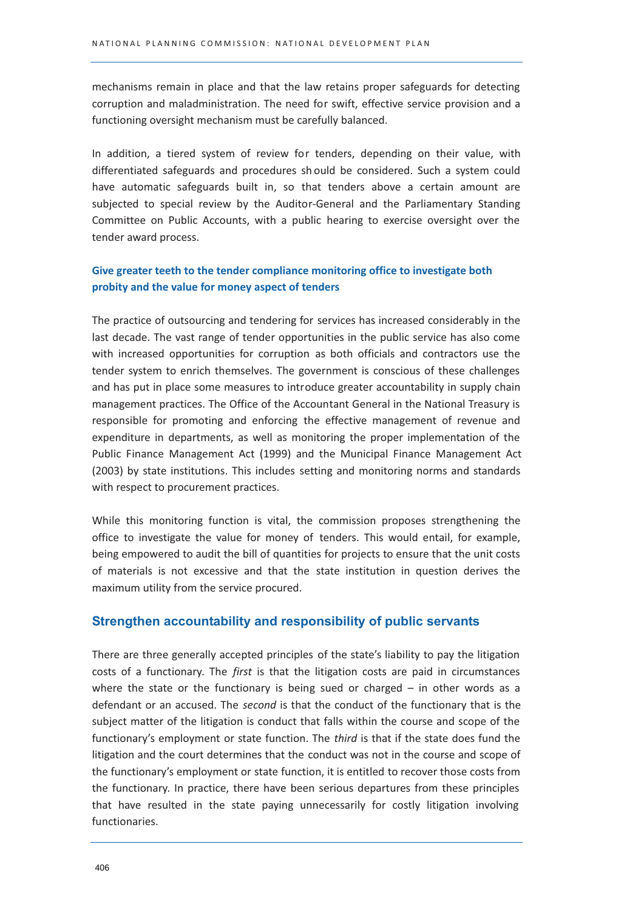mechanisms remain in place and that the law retains proper safeguards for detecting corruption and maladministration. The need for swift, effective service provision and a functioning oversight mechanism must be carefully balanced.

In addition, a tiered system of review for tenders, depending on their value, with differentiated safeguards and procedures should be considered. Such a system could have automatic safeguards built in, so that tenders above a certain amount are subjected to special review by the Auditor-General and the Parliamentary Standing Committee on Public Accounts, with a public hearing to exercise oversight over the tender award process.

### Give greater teeth to the tender compliance monitoring office to investigate both probity and the value for money aspect of tenders

The practice of outsourcing and tendering for services has increased considerably in the last decade. The vast range of tender opportunities in the public service has also come with increased opportunities for corruption as both officials and contractors use the tender system to enrich themselves. The government is conscious of these challenges and has put in place some measures to introduce greater accountability in supply chain management practices. The Office of the Accountant General in the National Treasury is responsible for promoting and enforcing the effective management of revenue and expenditure in departments, as well as monitoring the proper implementation of the Public Finance Management Act (1999) and the Municipal Finance Management Act (2003) by state institutions. This includes setting and monitoring norms and standards with respect to procurement practices.

While this monitoring function is vital, the commission proposes strengthening the office to investigate the value for money of tenders. This would entail, for example, being empowered to audit the bill of quantities for projects to ensure that the unit costs of materials is not excessive and that the state institution in question derives the maximum utility from the service procured.

#### Strengthen accountability and responsibility of public servants

There are three generally accepted principles of the state's liability to pay the litigation costs of a functionary. The first is that the litigation costs are paid in circumstances where the state or the functionary is being sued or charged  $-$  in other words as a defendant or an accused. The second is that the conduct of the functionary that is the subject matter of the litigation is conduct that falls within the course and scope of the functionary's employment or state function. The third is that if the state does fund the litigation and the court determines that the conduct was not in the course and scope of the functionary's employment or state function, it is entitled to recover those costs from the functionary. In practice, there have been serious departures from these principles that have resulted in the state paying unnecessarily for costly litigation involving functionaries.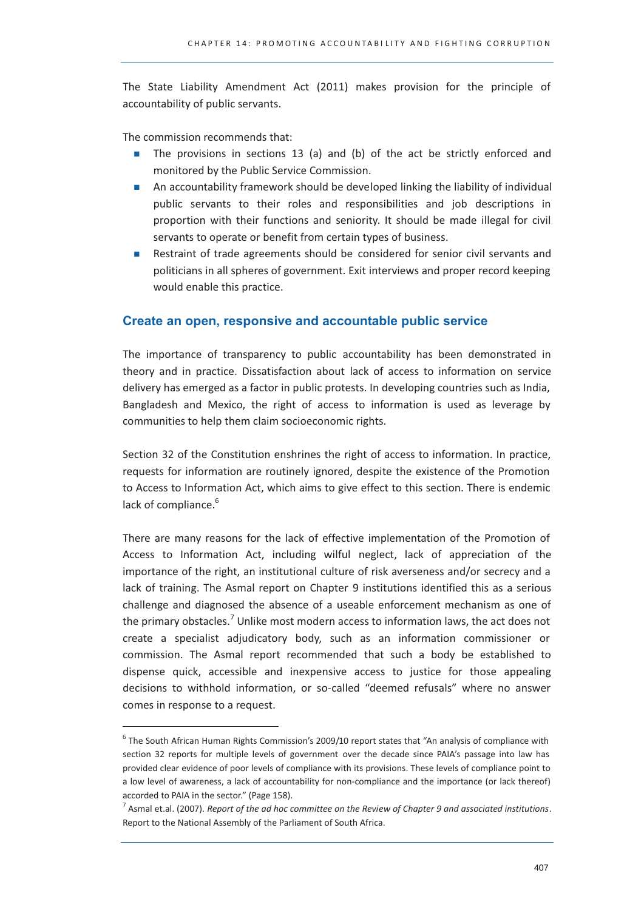The State Liability Amendment Act (2011) makes provision for the principle of accountability of public servants.

The commission recommends that:

- The provisions in sections 13 (a) and (b) of the act be strictly enforced and  $\mathcal{L}_{\mathcal{A}}$ monitored by the Public Service Commission.
- An accountability framework should be developed linking the liability of individual **College** public servants to their roles and responsibilities and job descriptions in proportion with their functions and seniority. It should be made illegal for civil servants to operate or benefit from certain types of business.
- Restraint of trade agreements should be considered for senior civil servants and **The Co** politicians in all spheres of government. Exit interviews and proper record keeping would enable this practice.

#### Create an open, responsive and accountable public service

The importance of transparency to public accountability has been demonstrated in theory and in practice. Dissatisfaction about lack of access to information on service delivery has emerged as a factor in public protests. In developing countries such as India. Bangladesh and Mexico, the right of access to information is used as leverage by communities to help them claim socioeconomic rights.

Section 32 of the Constitution enshrines the right of access to information. In practice, requests for information are routinely ignored, despite the existence of the Promotion to Access to Information Act, which aims to give effect to this section. There is endemic lack of compliance.<sup>6</sup>

There are many reasons for the lack of effective implementation of the Promotion of Access to Information Act, including wilful neglect, lack of appreciation of the importance of the right, an institutional culture of risk averseness and/or secrecy and a lack of training. The Asmal report on Chapter 9 institutions identified this as a serious challenge and diagnosed the absence of a useable enforcement mechanism as one of the primary obstacles.<sup>7</sup> Unlike most modern access to information laws, the act does not create a specialist adjudicatory body, such as an information commissioner or commission. The Asmal report recommended that such a body be established to dispense quick, accessible and inexpensive access to justice for those appealing decisions to withhold information, or so-called "deemed refusals" where no answer comes in response to a request.

 $6$  The South African Human Rights Commission's 2009/10 report states that "An analysis of compliance with section 32 reports for multiple levels of government over the decade since PAIA's passage into law has provided clear evidence of poor levels of compliance with its provisions. These levels of compliance point to a low level of awareness, a lack of accountability for non-compliance and the importance (or lack thereof) accorded to PAIA in the sector." (Page 158).

 $^7$  Asmal et.al. (2007). Report of the ad hoc committee on the Review of Chapter 9 and associated institutions. Report to the National Assembly of the Parliament of South Africa.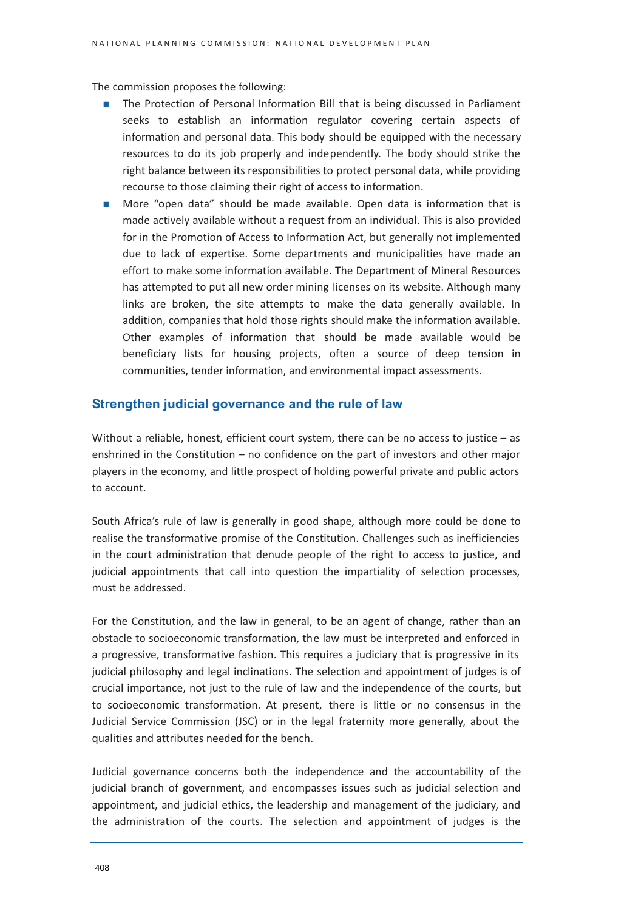The commission proposes the following:

- The Protection of Personal Information Bill that is being discussed in Parliament seeks to establish an information regulator covering certain aspects of information and personal data. This body should be equipped with the necessary resources to do its job properly and independently. The body should strike the right balance between its responsibilities to protect personal data, while providing recourse to those claiming their right of access to information.
- More "open data" should be made available. Open data is information that is made actively available without a request from an individual. This is also provided for in the Promotion of Access to Information Act, but generally not implemented due to lack of expertise. Some departments and municipalities have made an effort to make some information available. The Department of Mineral Resources has attempted to put all new order mining licenses on its website. Although many links are broken, the site attempts to make the data generally available. In addition, companies that hold those rights should make the information available. Other examples of information that should be made available would be beneficiary lists for housing projects, often a source of deep tension in communities, tender information, and environmental impact assessments.

#### Strengthen judicial governance and the rule of law

Without a reliable, honest, efficient court system, there can be no access to justice  $-$  as enshrined in the Constitution – no confidence on the part of investors and other major players in the economy, and little prospect of holding powerful private and public actors to account.

South Africa's rule of law is generally in good shape, although more could be done to realise the transformative promise of the Constitution. Challenges such as inefficiencies in the court administration that denude people of the right to access to justice, and judicial appointments that call into question the impartiality of selection processes, must be addressed.

For the Constitution, and the law in general, to be an agent of change, rather than an obstacle to socioeconomic transformation, the law must be interpreted and enforced in a progressive, transformative fashion. This requires a judiciary that is progressive in its judicial philosophy and legal inclinations. The selection and appointment of judges is of crucial importance, not just to the rule of law and the independence of the courts, but to socioeconomic transformation. At present, there is little or no consensus in the Judicial Service Commission (JSC) or in the legal fraternity more generally, about the qualities and attributes needed for the bench.

Judicial governance concerns both the independence and the accountability of the judicial branch of government, and encompasses issues such as judicial selection and appointment, and judicial ethics, the leadership and management of the judiciary, and the administration of the courts. The selection and appointment of judges is the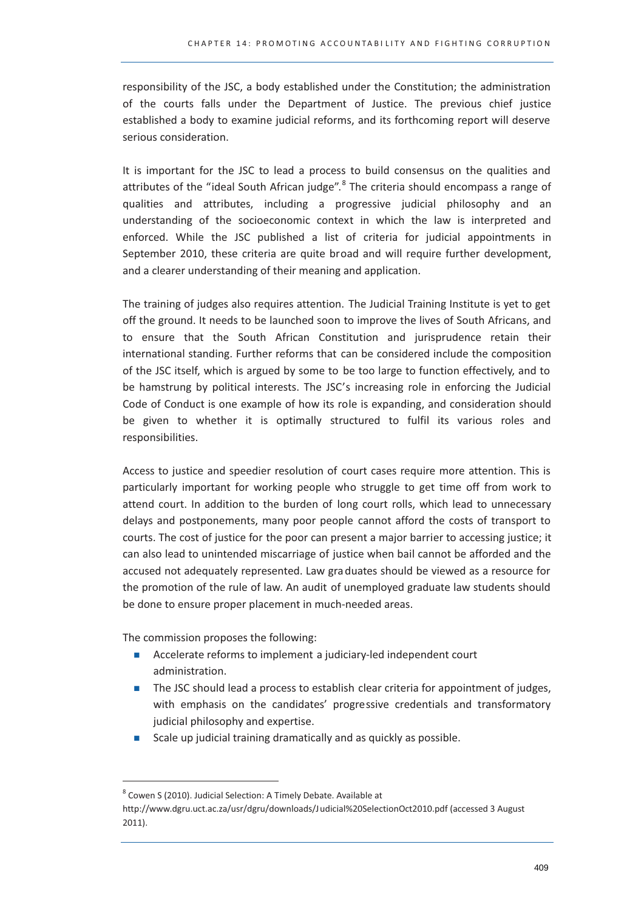responsibility of the JSC, a body established under the Constitution; the administration of the courts falls under the Department of Justice. The previous chief justice established a body to examine judicial reforms, and its forthcoming report will deserve serious consideration.

It is important for the JSC to lead a process to build consensus on the qualities and attributes of the "ideal South African judge".<sup>8</sup> The criteria should encompass a range of qualities and attributes, including a progressive judicial philosophy and an understanding of the socioeconomic context in which the law is interpreted and enforced. While the JSC published a list of criteria for judicial appointments in September 2010, these criteria are quite broad and will require further development, and a clearer understanding of their meaning and application.

The training of judges also requires attention. The Judicial Training Institute is yet to get off the ground. It needs to be launched soon to improve the lives of South Africans, and to ensure that the South African Constitution and jurisprudence retain their international standing. Further reforms that can be considered include the composition of the JSC itself, which is argued by some to be too large to function effectively, and to be hamstrung by political interests. The JSC's increasing role in enforcing the Judicial Code of Conduct is one example of how its role is expanding, and consideration should be given to whether it is optimally structured to fulfil its various roles and responsibilities.

Access to justice and speedier resolution of court cases require more attention. This is particularly important for working people who struggle to get time off from work to attend court. In addition to the burden of long court rolls, which lead to unnecessary delays and postponements, many poor people cannot afford the costs of transport to courts. The cost of justice for the poor can present a major barrier to accessing justice; it can also lead to unintended miscarriage of justice when bail cannot be afforded and the accused not adequately represented. Law graduates should be viewed as a resource for the promotion of the rule of law. An audit of unemployed graduate law students should be done to ensure proper placement in much-needed areas.

The commission proposes the following:

- $\mathbf{r}$ Accelerate reforms to implement a judiciary-led independent court administration.
- The JSC should lead a process to establish clear criteria for appointment of judges, with emphasis on the candidates' progressive credentials and transformatory judicial philosophy and expertise.
- Scale up judicial training dramatically and as quickly as possible.  $\mathcal{L}_{\text{max}}$

<sup>&</sup>lt;sup>8</sup> Cowen S (2010). Judicial Selection: A Timely Debate. Available at

http://www.dgru.uct.ac.za/usr/dgru/downloads/Judicial%20SelectionOct2010.pdf (accessed 3 August  $2011$ ).